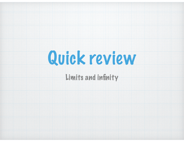

#### Limits and infinity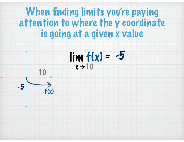### When finding limits you're paying attention to where the y coordinate is going at a given x value



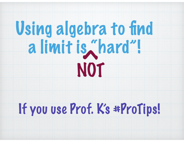# Using algebra to find a limit is "hard"! NOT CO

## If you use Prof. K's #ProTips!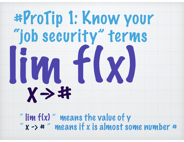# #ProTip 1: Know your "job security" terms lim f(x)  $X \rightarrow 46$

" lim f(x) " means the value of y  $x \rightarrow$   $*$  " means if x is almost some number  $*$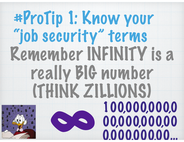### #ProTip 1: Know your "job security" terms Remember INFINITY is a really BIG number (THINK ZILLIONS) 8 100,000,000,0 00,000,000,00 0,000,000,00…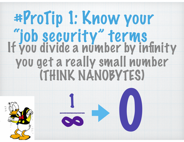## #ProTip 1: Know your "job security" terms<br>If you divide a number by infinity you get a really small number (THINK NANOBYTES)

0

8

1

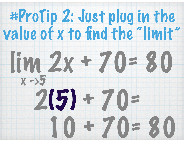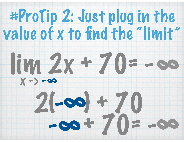

89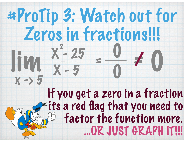### #ProTip 3: Watch out for Zeros in fractions!!!  $x \rightarrow 5$ lim X - 25 X - 5 2  $=\frac{6}{10}$ 0 = 0/ If you get a zero in a fraction its a red flag that you need to factor the function more. …OR JUST GRAPH IT!!!